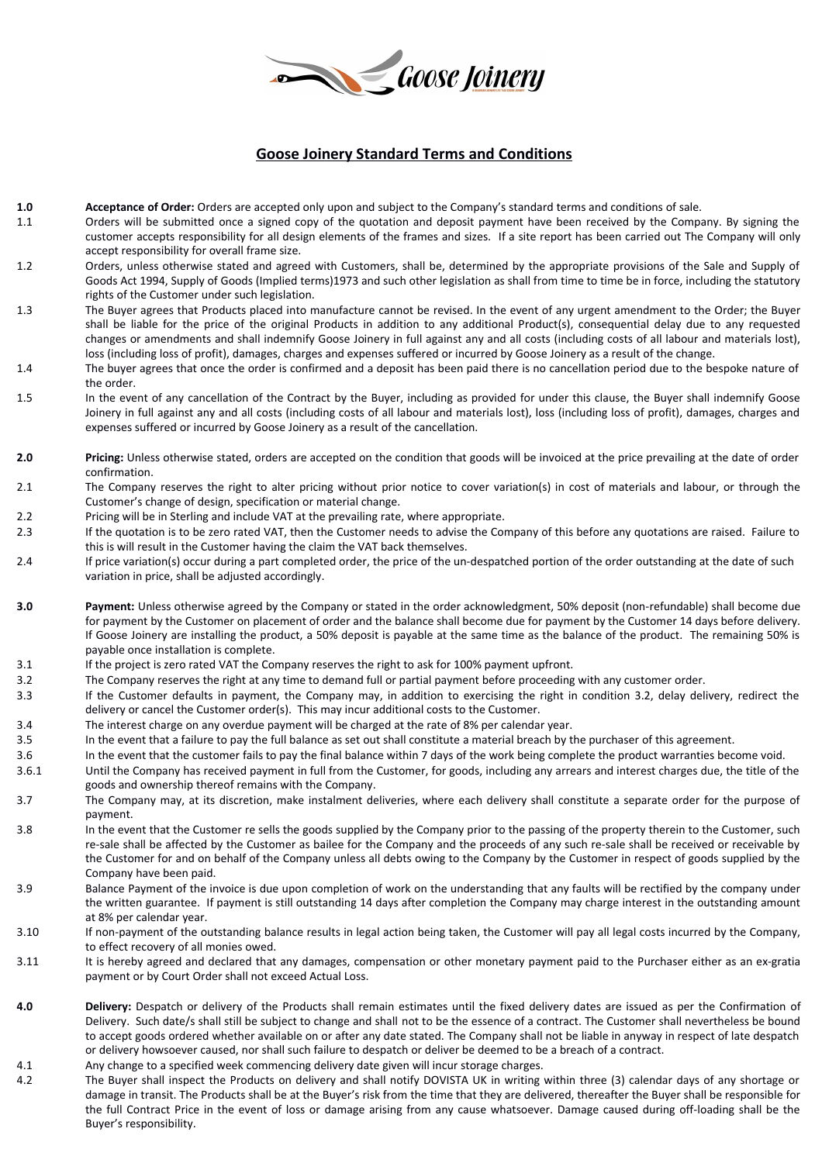

# **Goose Joinery Standard Terms and Conditions**

- **1.0 Acceptance of Order:** Orders are accepted only upon and subject to the Company's standard terms and conditions of sale.
- 1.1 Orders will be submitted once a signed copy of the quotation and deposit payment have been received by the Company. By signing the customer accepts responsibility for all design elements of the frames and sizes. If a site report has been carried out The Company will only accept responsibility for overall frame size.
- 1.2 Orders, unless otherwise stated and agreed with Customers, shall be, determined by the appropriate provisions of the Sale and Supply of Goods Act 1994, Supply of Goods (Implied terms)1973 and such other legislation as shall from time to time be in force, including the statutory rights of the Customer under such legislation.
- 1.3 The Buyer agrees that Products placed into manufacture cannot be revised. In the event of any urgent amendment to the Order; the Buyer shall be liable for the price of the original Products in addition to any additional Product(s), consequential delay due to any requested changes or amendments and shall indemnify Goose Joinery in full against any and all costs (including costs of all labour and materials lost), loss (including loss of profit), damages, charges and expenses suffered or incurred by Goose Joinery as a result of the change.
- 1.4 The buyer agrees that once the order is confirmed and a deposit has been paid there is no cancellation period due to the bespoke nature of the order.
- 1.5 In the event of any cancellation of the Contract by the Buyer, including as provided for under this clause, the Buyer shall indemnify Goose Joinery in full against any and all costs (including costs of all labour and materials lost), loss (including loss of profit), damages, charges and expenses suffered or incurred by Goose Joinery as a result of the cancellation.
- **2.0 Pricing:** Unless otherwise stated, orders are accepted on the condition that goods will be invoiced at the price prevailing at the date of order confirmation.
- 2.1 The Company reserves the right to alter pricing without prior notice to cover variation(s) in cost of materials and labour, or through the Customer's change of design, specification or material change.
- 2.2 Pricing will be in Sterling and include VAT at the prevailing rate, where appropriate.
- 2.3 If the quotation is to be zero rated VAT, then the Customer needs to advise the Company of this before any quotations are raised. Failure to this is will result in the Customer having the claim the VAT back themselves.
- 2.4 If price variation(s) occur during a part completed order, the price of the un-despatched portion of the order outstanding at the date of such variation in price, shall be adjusted accordingly.
- **3.0 Payment:** Unless otherwise agreed by the Company or stated in the order acknowledgment, 50% deposit (non-refundable) shall become due for payment by the Customer on placement of order and the balance shall become due for payment by the Customer 14 days before delivery. If Goose Joinery are installing the product, a 50% deposit is payable at the same time as the balance of the product. The remaining 50% is payable once installation is complete.
- 3.1 If the project is zero rated VAT the Company reserves the right to ask for 100% payment upfront.
- 3.2 The Company reserves the right at any time to demand full or partial payment before proceeding with any customer order.
- 3.3 If the Customer defaults in payment, the Company may, in addition to exercising the right in condition 3.2, delay delivery, redirect the delivery or cancel the Customer order(s). This may incur additional costs to the Customer.
- 3.4 The interest charge on any overdue payment will be charged at the rate of 8% per calendar year.
- 3.5 In the event that a failure to pay the full balance as set out shall constitute a material breach by the purchaser of this agreement.
- 3.6 In the event that the customer fails to pay the final balance within 7 days of the work being complete the product warranties become void. 3.6.1 Until the Company has received payment in full from the Customer, for goods, including any arrears and interest charges due, the title of the
- goods and ownership thereof remains with the Company. 3.7 The Company may, at its discretion, make instalment deliveries, where each delivery shall constitute a separate order for the purpose of payment.
- 3.8 In the event that the Customer re sells the goods supplied by the Company prior to the passing of the property therein to the Customer, such re-sale shall be affected by the Customer as bailee for the Company and the proceeds of any such re-sale shall be received or receivable by the Customer for and on behalf of the Company unless all debts owing to the Company by the Customer in respect of goods supplied by the Company have been paid.
- 3.9 Balance Payment of the invoice is due upon completion of work on the understanding that any faults will be rectified by the company under the written guarantee. If payment is still outstanding 14 days after completion the Company may charge interest in the outstanding amount at 8% per calendar year.
- 3.10 If non-payment of the outstanding balance results in legal action being taken, the Customer will pay all legal costs incurred by the Company, to effect recovery of all monies owed.
- 3.11 It is hereby agreed and declared that any damages, compensation or other monetary payment paid to the Purchaser either as an ex-gratia payment or by Court Order shall not exceed Actual Loss.
- **4.0 Delivery:** Despatch or delivery of the Products shall remain estimates until the fixed delivery dates are issued as per the Confirmation of Delivery. Such date/s shall still be subject to change and shall not to be the essence of a contract. The Customer shall nevertheless be bound to accept goods ordered whether available on or after any date stated. The Company shall not be liable in anyway in respect of late despatch or delivery howsoever caused, nor shall such failure to despatch or deliver be deemed to be a breach of a contract.
- 4.1 Any change to a specified week commencing delivery date given will incur storage charges.
- 4.2 The Buyer shall inspect the Products on delivery and shall notify DOVISTA UK in writing within three (3) calendar days of any shortage or damage in transit. The Products shall be at the Buyer's risk from the time that they are delivered, thereafter the Buyer shall be responsible for the full Contract Price in the event of loss or damage arising from any cause whatsoever. Damage caused during off-loading shall be the Buyer's responsibility.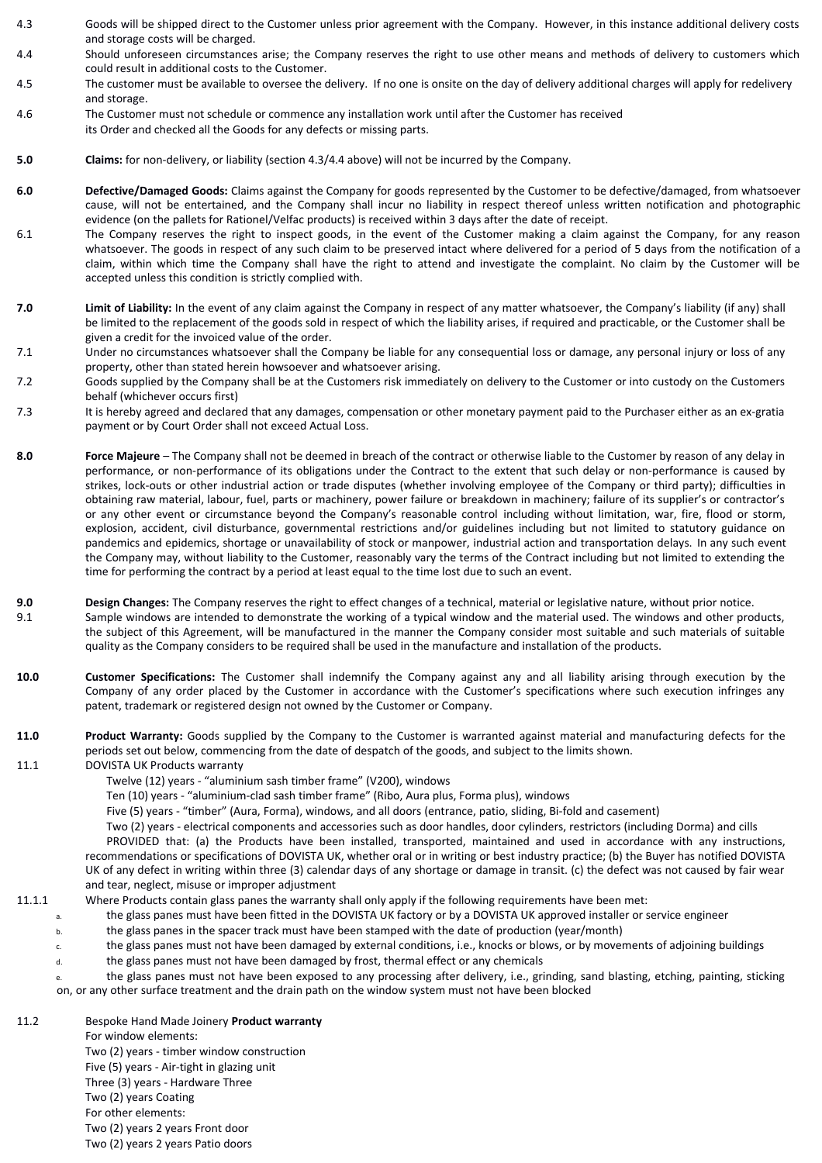- 4.3 Goods will be shipped direct to the Customer unless prior agreement with the Company. However, in this instance additional delivery costs and storage costs will be charged.
- 4.4 Should unforeseen circumstances arise; the Company reserves the right to use other means and methods of delivery to customers which could result in additional costs to the Customer.
- 4.5 The customer must be available to oversee the delivery. If no one is onsite on the day of delivery additional charges will apply for redelivery and storage.
- 4.6 The Customer must not schedule or commence any installation work until after the Customer has received its Order and checked all the Goods for any defects or missing parts.
- **5.0 Claims:** for non-delivery, or liability (section 4.3/4.4 above) will not be incurred by the Company.
- **6.0 Defective/Damaged Goods:** Claims against the Company for goods represented by the Customer to be defective/damaged, from whatsoever cause, will not be entertained, and the Company shall incur no liability in respect thereof unless written notification and photographic evidence (on the pallets for Rationel/Velfac products) is received within 3 days after the date of receipt.
- 6.1 The Company reserves the right to inspect goods, in the event of the Customer making a claim against the Company, for any reason whatsoever. The goods in respect of any such claim to be preserved intact where delivered for a period of 5 days from the notification of a claim, within which time the Company shall have the right to attend and investigate the complaint. No claim by the Customer will be accepted unless this condition is strictly complied with.
- **7.0 Limit of Liability:** In the event of any claim against the Company in respect of any matter whatsoever, the Company's liability (if any) shall be limited to the replacement of the goods sold in respect of which the liability arises, if required and practicable, or the Customer shall be given a credit for the invoiced value of the order.
- 7.1 Under no circumstances whatsoever shall the Company be liable for any consequential loss or damage, any personal injury or loss of any property, other than stated herein howsoever and whatsoever arising.
- 7.2 Goods supplied by the Company shall be at the Customers risk immediately on delivery to the Customer or into custody on the Customers behalf (whichever occurs first)
- 7.3 It is hereby agreed and declared that any damages, compensation or other monetary payment paid to the Purchaser either as an ex-gratia payment or by Court Order shall not exceed Actual Loss.
- **8.0 Force Majeure** The Company shall not be deemed in breach of the contract or otherwise liable to the Customer by reason of any delay in performance, or non-performance of its obligations under the Contract to the extent that such delay or non-performance is caused by strikes, lock-outs or other industrial action or trade disputes (whether involving employee of the Company or third party); difficulties in obtaining raw material, labour, fuel, parts or machinery, power failure or breakdown in machinery; failure of its supplier's or contractor's or any other event or circumstance beyond the Company's reasonable control including without limitation, war, fire, flood or storm, explosion, accident, civil disturbance, governmental restrictions and/or guidelines including but not limited to statutory guidance on pandemics and epidemics, shortage or unavailability of stock or manpower, industrial action and transportation delays. In any such event the Company may, without liability to the Customer, reasonably vary the terms of the Contract including but not limited to extending the time for performing the contract by a period at least equal to the time lost due to such an event.
- **9.0 Design Changes:** The Company reserves the right to effect changes of a technical, material or legislative nature, without prior notice. 9.1 Sample windows are intended to demonstrate the working of a typical window and the material used. The windows and other products, the subject of this Agreement, will be manufactured in the manner the Company consider most suitable and such materials of suitable quality as the Company considers to be required shall be used in the manufacture and installation of the products.
- **10.0 Customer Specifications:** The Customer shall indemnify the Company against any and all liability arising through execution by the Company of any order placed by the Customer in accordance with the Customer's specifications where such execution infringes any patent, trademark or registered design not owned by the Customer or Company.
- **11.0 Product Warranty:** Goods supplied by the Company to the Customer is warranted against material and manufacturing defects for the periods set out below, commencing from the date of despatch of the goods, and subject to the limits shown.
- 11.1 DOVISTA UK Products warranty
	- Twelve (12) years "aluminium sash timber frame" (V200), windows
	- Ten (10) years "aluminium-clad sash timber frame" (Ribo, Aura plus, Forma plus), windows
	- Five (5) years "timber" (Aura, Forma), windows, and all doors (entrance, patio, sliding, Bi-fold and casement)
	- Two (2) years electrical components and accessories such as door handles, door cylinders, restrictors (including Dorma) and cills

PROVIDED that: (a) the Products have been installed, transported, maintained and used in accordance with any instructions, recommendations or specifications of DOVISTA UK, whether oral or in writing or best industry practice; (b) the Buyer has notified DOVISTA UK of any defect in writing within three (3) calendar days of any shortage or damage in transit. (c) the defect was not caused by fair wear and tear, neglect, misuse or improper adjustment

- 11.1.1 Where Products contain glass panes the warranty shall only apply if the following requirements have been met:
	- a. the glass panes must have been fitted in the DOVISTA UK factory or by a DOVISTA UK approved installer or service engineer
	- b. the glass panes in the spacer track must have been stamped with the date of production (year/month)
	- c. the glass panes must not have been damaged by external conditions, i.e., knocks or blows, or by movements of adjoining buildings
	- d. the glass panes must not have been damaged by frost, thermal effect or any chemicals

the glass panes must not have been exposed to any processing after delivery, i.e., grinding, sand blasting, etching, painting, sticking on, or any other surface treatment and the drain path on the window system must not have been blocked

11.2 Bespoke Hand Made Joinery **Product warranty** For window elements:

Two (2) years - timber window construction Five (5) years - Air-tight in glazing unit Three (3) years - Hardware Three Two (2) years Coating For other elements: Two (2) years 2 years Front door

Two (2) years 2 years Patio doors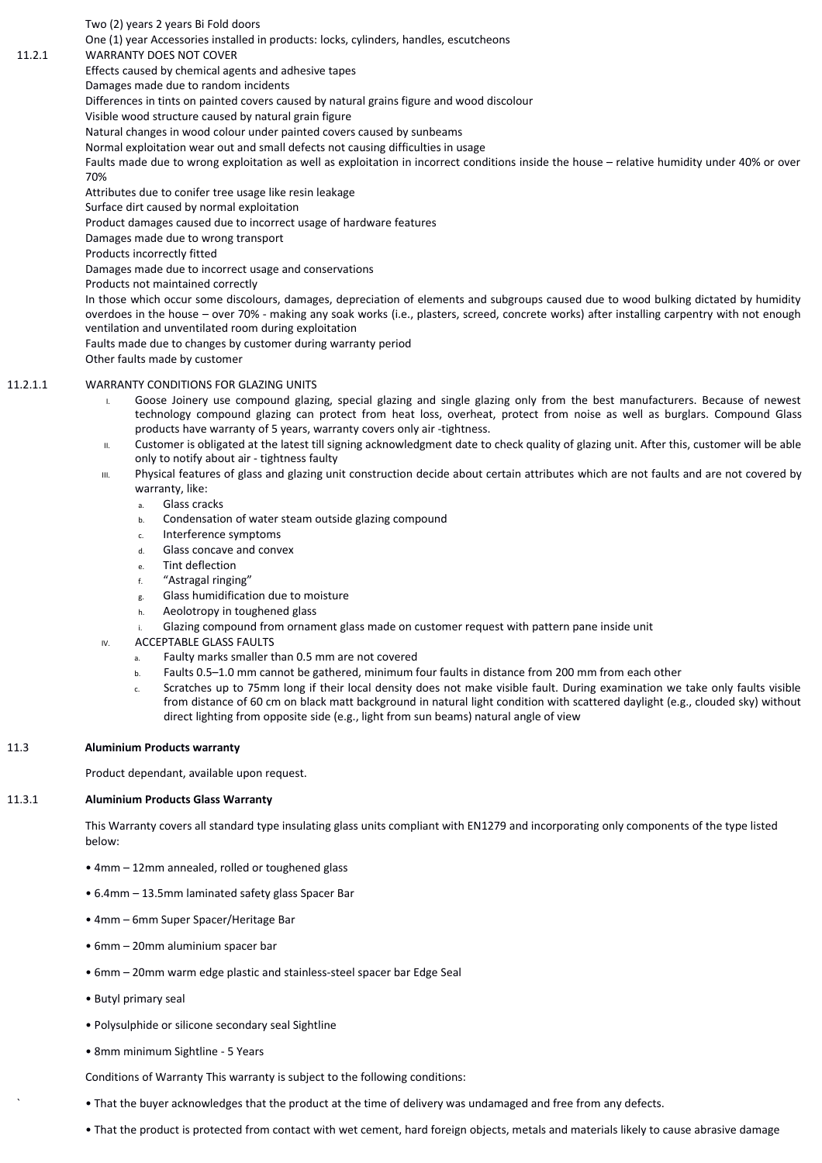Two (2) years 2 years Bi Fold doors

One (1) year Accessories installed in products: locks, cylinders, handles, escutcheons

#### 11.2.1 WARRANTY DOES NOT COVER

Effects caused by chemical agents and adhesive tapes

Damages made due to random incidents

Differences in tints on painted covers caused by natural grains figure and wood discolour

Visible wood structure caused by natural grain figure

Natural changes in wood colour under painted covers caused by sunbeams

Normal exploitation wear out and small defects not causing difficulties in usage

Faults made due to wrong exploitation as well as exploitation in incorrect conditions inside the house – relative humidity under 40% or over 70%

Attributes due to conifer tree usage like resin leakage

Surface dirt caused by normal exploitation

Product damages caused due to incorrect usage of hardware features

Damages made due to wrong transport

Products incorrectly fitted

Damages made due to incorrect usage and conservations

Products not maintained correctly

In those which occur some discolours, damages, depreciation of elements and subgroups caused due to wood bulking dictated by humidity overdoes in the house – over 70% - making any soak works (i.e., plasters, screed, concrete works) after installing carpentry with not enough ventilation and unventilated room during exploitation

Faults made due to changes by customer during warranty period

Other faults made by customer

## 11.2.1.1 WARRANTY CONDITIONS FOR GLAZING UNITS

- Goose Joinery use compound glazing, special glazing and single glazing only from the best manufacturers. Because of newest technology compound glazing can protect from heat loss, overheat, protect from noise as well as burglars. Compound Glass products have warranty of 5 years, warranty covers only air -tightness.
- II. Customer is obligated at the latest till signing acknowledgment date to check quality of glazing unit. After this, customer will be able only to notify about air - tightness faulty
- III. Physical features of glass and glazing unit construction decide about certain attributes which are not faults and are not covered by warranty, like:
	- a. Glass cracks
	- b. Condensation of water steam outside glazing compound
	- c. Interference symptoms
	- d. Glass concave and convex
	- e. Tint deflection
	- "Astragal ringing"
	- g. Glass humidification due to moisture
	- h. Aeolotropy in toughened glass
	- Glazing compound from ornament glass made on customer request with pattern pane inside unit
- IV. ACCEPTABLE GLASS FAULTS
	- a. Faulty marks smaller than 0.5 mm are not covered
	- b. Faults 0.5–1.0 mm cannot be gathered, minimum four faults in distance from 200 mm from each other
	- c. Scratches up to 75mm long if their local density does not make visible fault. During examination we take only faults visible from distance of 60 cm on black matt background in natural light condition with scattered daylight (e.g., clouded sky) without direct lighting from opposite side (e.g., light from sun beams) natural angle of view

## 11.3 **Aluminium Products warranty**

Product dependant, available upon request.

## 11.3.1 **Aluminium Products Glass Warranty**

This Warranty covers all standard type insulating glass units compliant with EN1279 and incorporating only components of the type listed below:

- 4mm 12mm annealed, rolled or toughened glass
- 6.4mm 13.5mm laminated safety glass Spacer Bar
- 4mm 6mm Super Spacer/Heritage Bar
- 6mm 20mm aluminium spacer bar
- 6mm 20mm warm edge plastic and stainless-steel spacer bar Edge Seal
- Butyl primary seal
- Polysulphide or silicone secondary seal Sightline
- 8mm minimum Sightline 5 Years

Conditions of Warranty This warranty is subject to the following conditions:

` • That the buyer acknowledges that the product at the time of delivery was undamaged and free from any defects.

• That the product is protected from contact with wet cement, hard foreign objects, metals and materials likely to cause abrasive damage